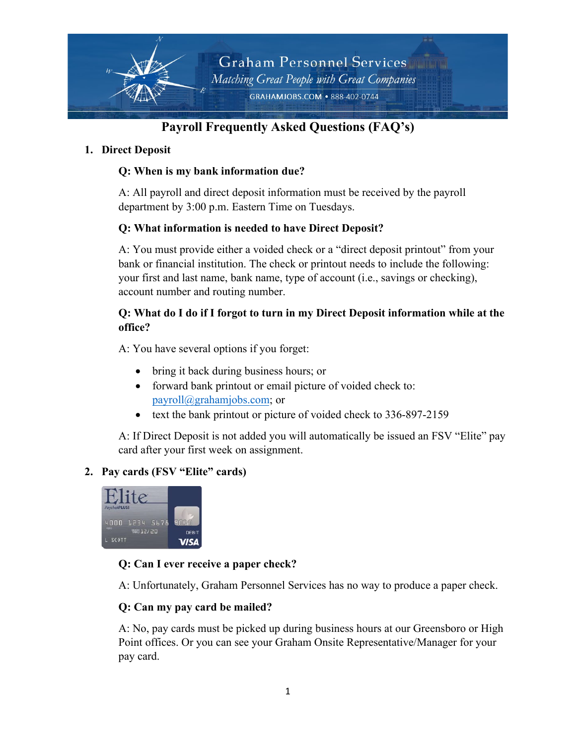

# **Payroll Frequently Asked Questions (FAQ's)**

### **1. Direct Deposit**

# **Q: When is my bank information due?**

A: All payroll and direct deposit information must be received by the payroll department by 3:00 p.m. Eastern Time on Tuesdays.

# **Q: What information is needed to have Direct Deposit?**

A: You must provide either a voided check or a "direct deposit printout" from your bank or financial institution. The check or printout needs to include the following: your first and last name, bank name, type of account (i.e., savings or checking), account number and routing number.

# **Q: What do I do if I forgot to turn in my Direct Deposit information while at the office?**

A: You have several options if you forget:

- bring it back during business hours; or
- forward bank printout or email picture of voided check to: [payroll@grahamjobs.com;](mailto:payroll@grahamjobs.com) or
- text the bank printout or picture of voided check to 336-897-2159

A: If Direct Deposit is not added you will automatically be issued an FSV "Elite" pay card after your first week on assignment.

# **2. Pay cards (FSV "Elite" cards)**



# **Q: Can I ever receive a paper check?**

A: Unfortunately, Graham Personnel Services has no way to produce a paper check.

# **Q: Can my pay card be mailed?**

A: No, pay cards must be picked up during business hours at our Greensboro or High Point offices. Or you can see your Graham Onsite Representative/Manager for your pay card.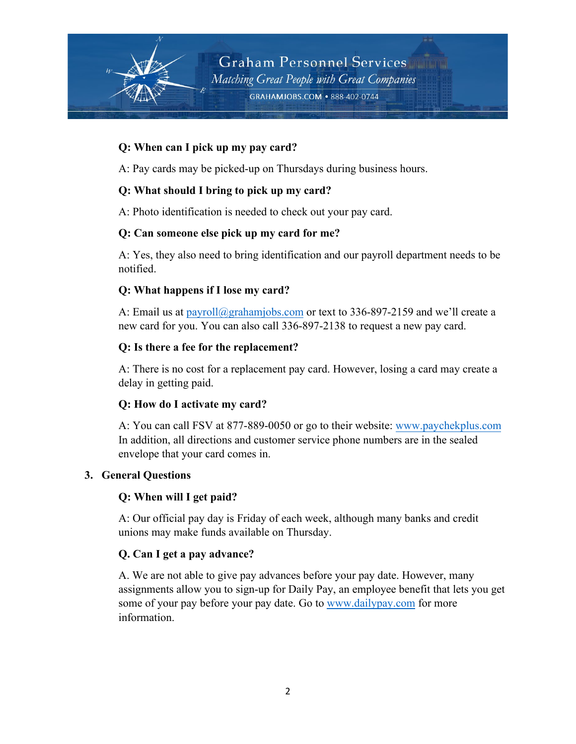

### **Q: When can I pick up my pay card?**

A: Pay cards may be picked-up on Thursdays during business hours.

### **Q: What should I bring to pick up my card?**

A: Photo identification is needed to check out your pay card.

#### **Q: Can someone else pick up my card for me?**

A: Yes, they also need to bring identification and our payroll department needs to be notified.

### **Q: What happens if I lose my card?**

A: Email us a[t payroll@grahamjobs.com](mailto:payroll@grahamjobs.com) or text to 336-897-2159 and we'll create a new card for you. You can also call 336-897-2138 to request a new pay card.

#### **Q: Is there a fee for the replacement?**

A: There is no cost for a replacement pay card. However, losing a card may create a delay in getting paid.

#### **Q: How do I activate my card?**

A: You can call FSV at 877-889-0050 or go to their website: [www.paychekplus.com](http://www.paychekplus.com/) In addition, all directions and customer service phone numbers are in the sealed envelope that your card comes in.

#### **3. General Questions**

#### **Q: When will I get paid?**

A: Our official pay day is Friday of each week, although many banks and credit unions may make funds available on Thursday.

#### **Q. Can I get a pay advance?**

A. We are not able to give pay advances before your pay date. However, many assignments allow you to sign-up for Daily Pay, an employee benefit that lets you get some of your pay before your pay date. Go to [www.dailypay.com](http://www.dailypay.com/) for more information.